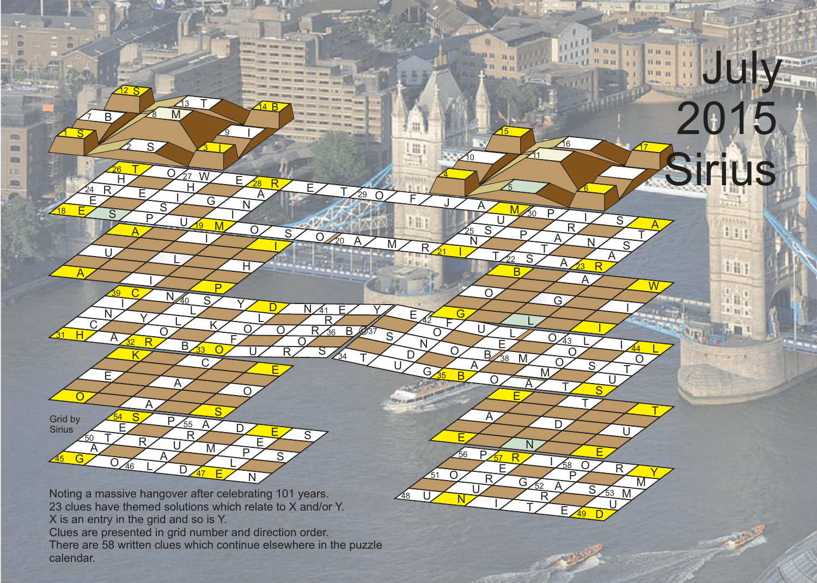45  $46$ 47 Noting a massive hangover after celebrating 101 years. 23 clues have themed solutions which relate to X and/or Y. X is an entry in the grid and so is Y. Clues are presented in grid number and direction order. There are 58 written clues which continue elsewhere in the puzzle calendar. A  $\frac{6}{\sqrt{46}}$   $\frac{A}{D\sqrt{47}}$   $\frac{C}{E}$  N U  $\overline{\mathsf{A}}$  $R$   $M$   $R$ L E

 $P\sqrt{57}$ 

E

56

U

 $\Omega$ 

E

4

 $E$  T  $^{29}$  O F J A M

m

[冊]

21

 $\frac{35}{2}$ 

F

O

51

U

42

 $\Omega$ N  $\overline{D}$ 

<u>48</u>

20

 $34$ 

<u>N 41</u>

R

 $36$  B  $\cancel{0}37$ 

T

S

 $\overline{290}$ 

 $\sqrt{10}$ 

25

 $\frac{A}{N}$  R  $\frac{N}{1}$  T  $\frac{1}{R}$  A  $\frac{N}{R}$ 

 $\cup$ 

 $\overline{\mathsf{A}}$ 

<u> 15</u>

22

B

 $\mathbf{U}$  $\overline{S}$  $\overline{N}$ 

**B** 38 M

E

E

U G S B B O A T S

58

P

P & R I A & O R Y

 $52$ 

 $\begin{array}{c}\n\frac{32}{11} & \text{S}_{53} \text{M} \\
\hline\n\frac{1}{11} & \text{E}_{49} \text{D}\n\end{array}$ 

R

N

 $R$  G/<sub>52</sub> A

49

53

<u>ប</u>

E

<u>043</u>

 $\overline{G}$ L

M

 $\frac{5}{6}$ 

P

30

 $\overline{P}$ 

 $23$ 

 $\frac{A}{W}$ G

I R  $\overline{\mathsf{A}}$ T

N

I

L  $\cap$  $\overline{O}$ 

T  $\overline{A}$  $\overline{D}$ 

S

16 17

 $\overline{\mathsf{S}}$ 

T S  $\underline{\mathsf{A}}$ 

11 m

**July** 

2015

Sirius

1111114 Et1

主任:

4 日后  $1|11|$ 

44

I

 $\mathbf{U}$ 

M

L  $\Omega$ T <u>ប</u>

 $\overline{\phantom{0}}$ 

26

H R E

E

A

I

R

 $\overline{32}$ 

K

 $A$   $\overline{B}$ 

 $\overline{39}$ 

I

 $\mathsf{N}$ 

E

 $\mathbf{U}$ 

54

T

E

12

7 8 B M

S

2 S 3

 $S / \sqrt{2}$ 

 $\overline{9}$ 

28

 $\overline{H}$ 

 $\frac{B_{33}O}{V R}$ 

 $\underline{\mathsf{A}}$ N I

I

 $\frac{C N_{40} S}{R}$ 

 $F$   $\bigcirc$ 

E

 $D \leftarrow E / S$ 

L

 $0 / 0 / R_{36}$ 

<u> 19</u>

 $\frac{E}{\sqrt{A}}$   $\frac{V_{\text{9}}}{V_{\text{9}}}}$ 

I

 $\overline{P}$ 

 $\frac{1}{\sqrt{27 \text{ W}}}}$  E  $\frac{28 \text{ R}}{\text{B}}$ 

G

33

 $\overline{C}$ 

A R

 $L$  $K$ 

L

40

L

 $\frac{S}{P_{55} A}$ 

A

 $\overline{O}$ A

27

 $\overline{H}$ I S

S I

13 14

 $\sqrt{44 B}$ 

1

**COL** 

m ED 12 **STO** 

 $\overline{18}$ 

 $\overline{31}$ 

Grid by **Sirius** 

 $\overline{50}$ 

24

A

H

 $\overline{C}$